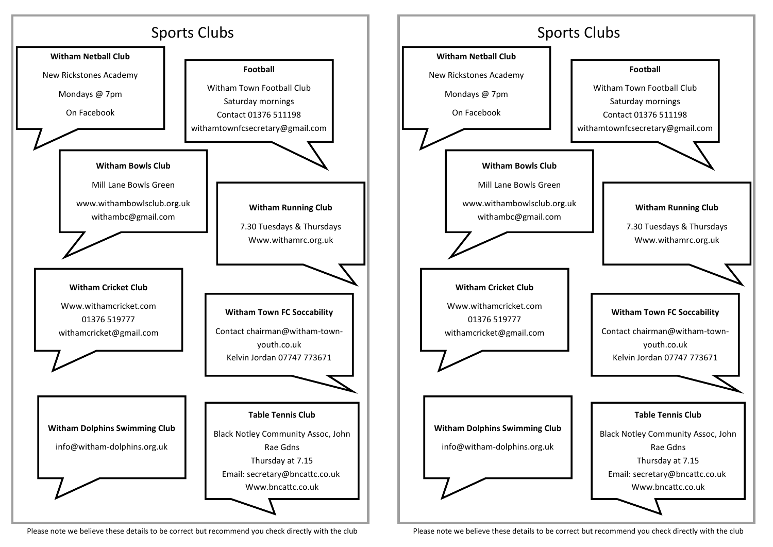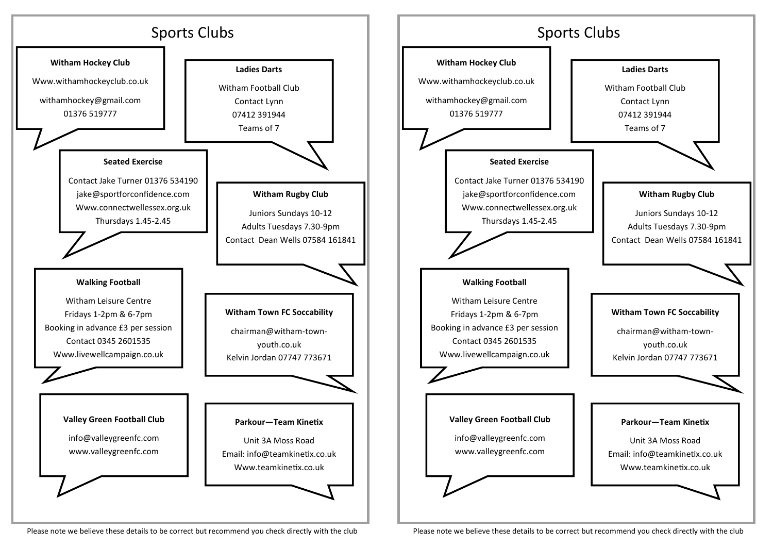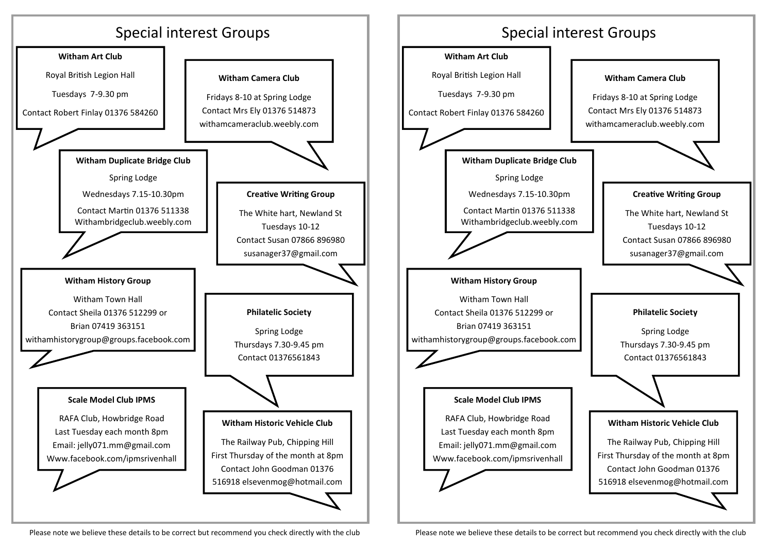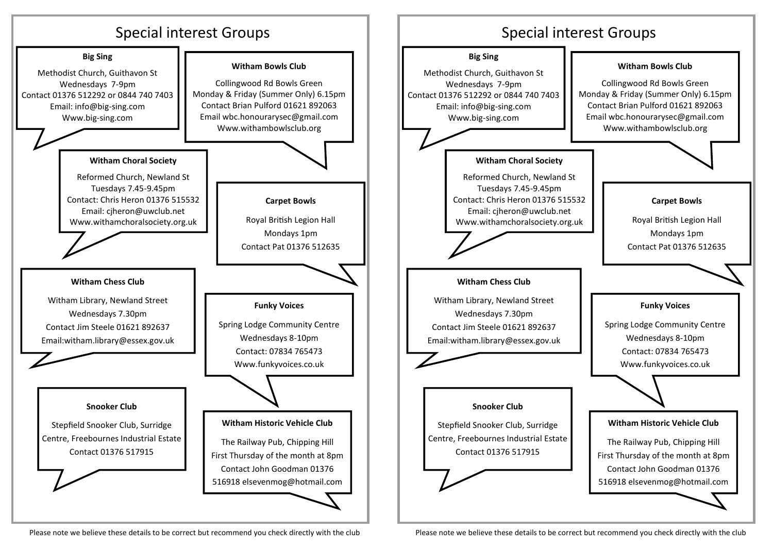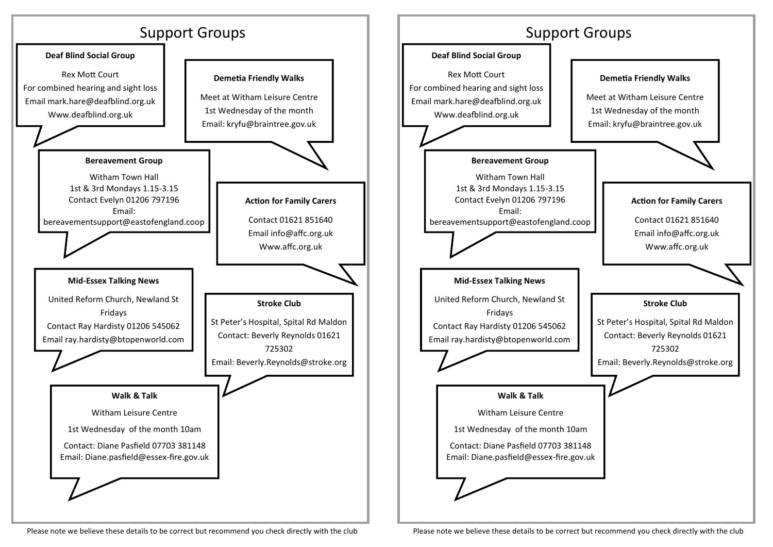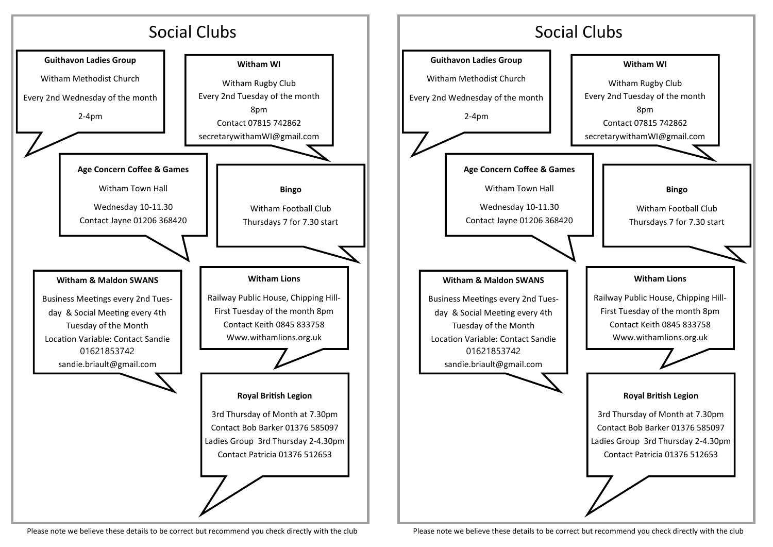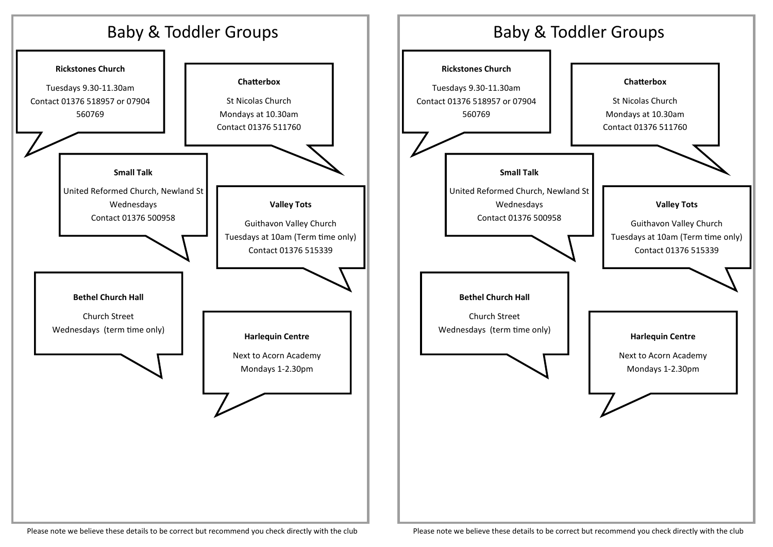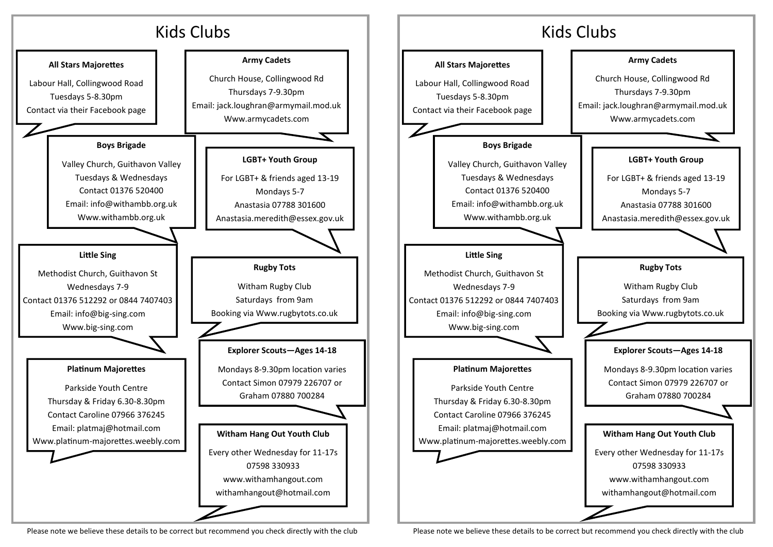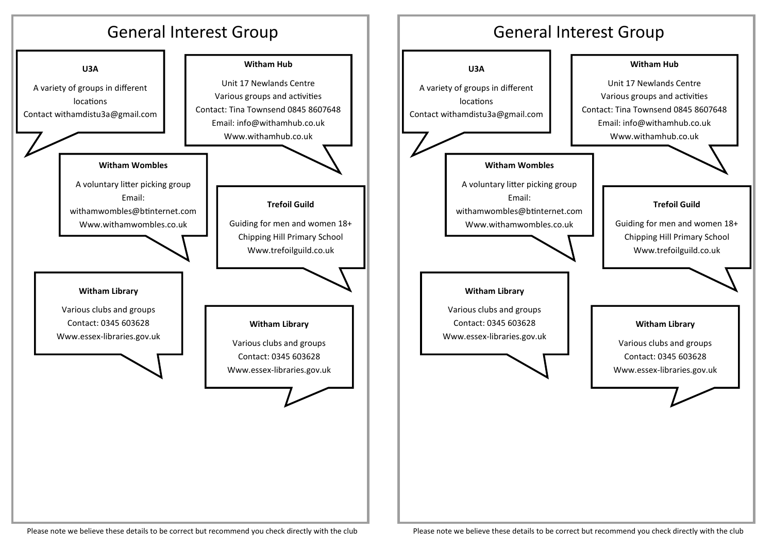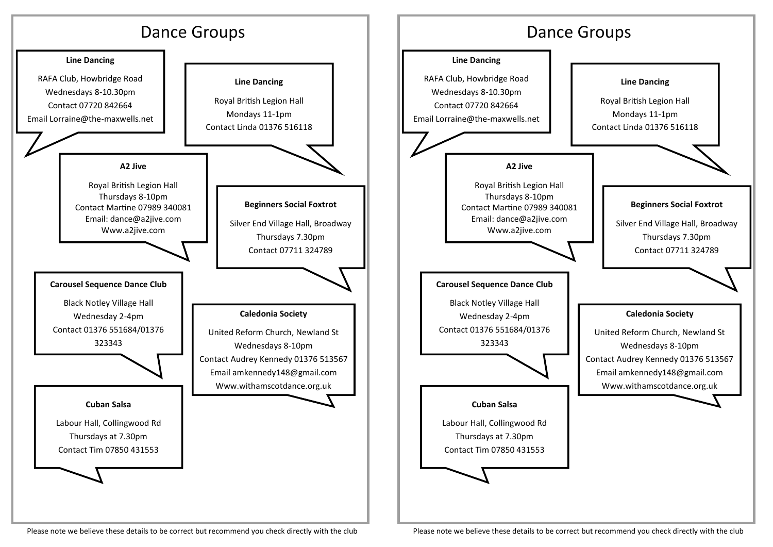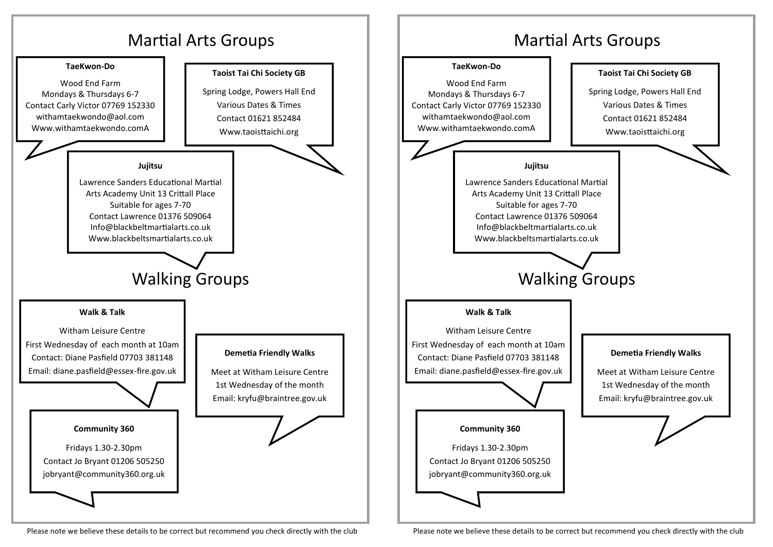